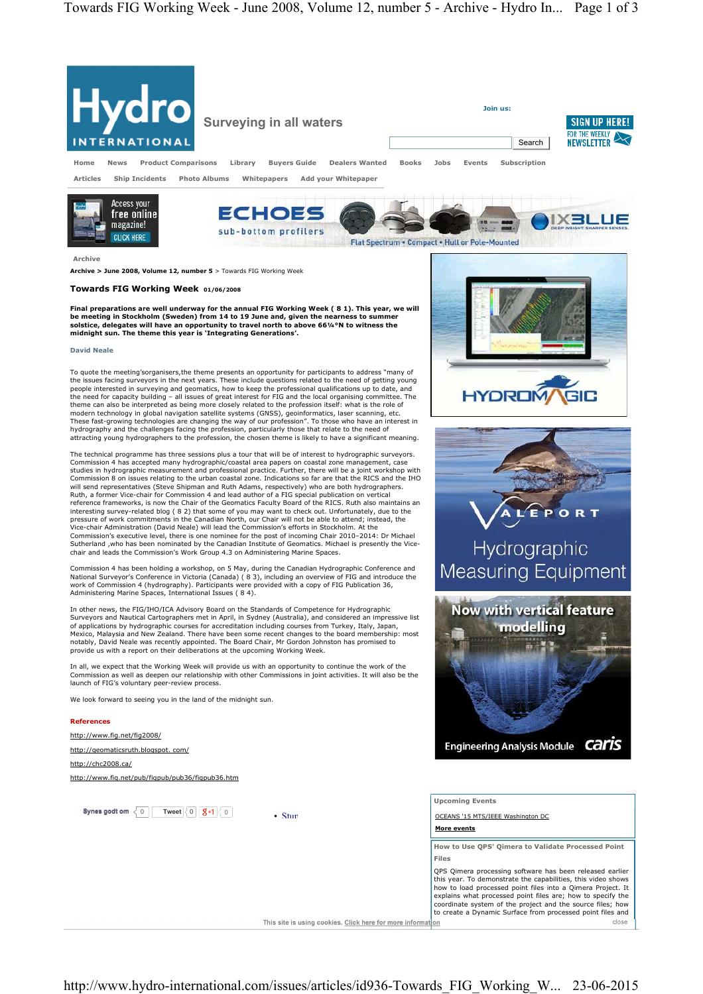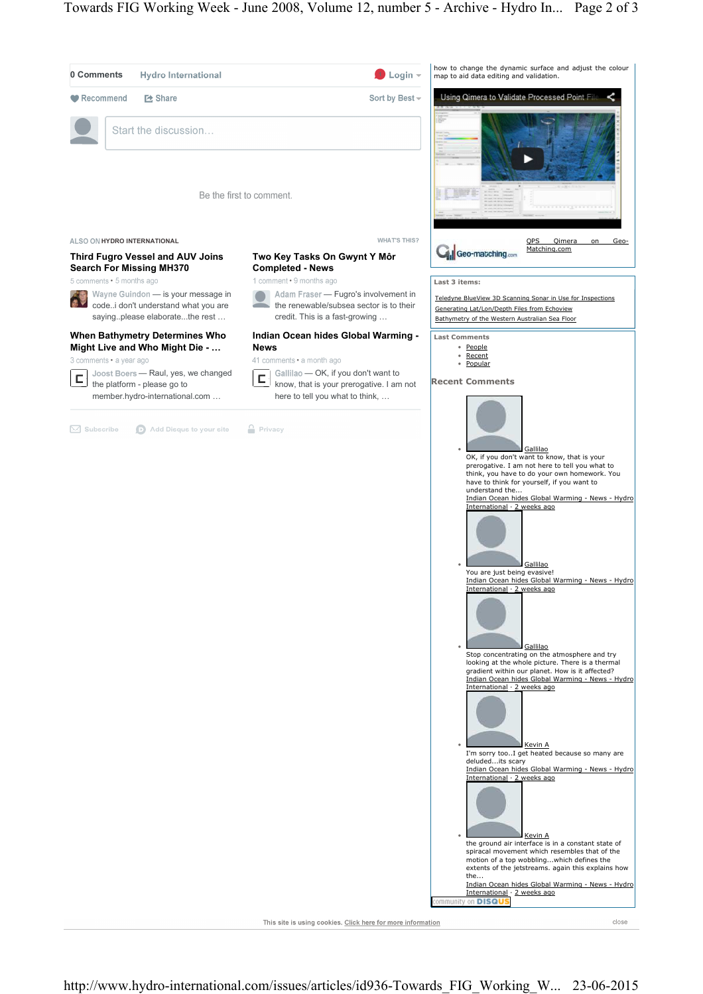